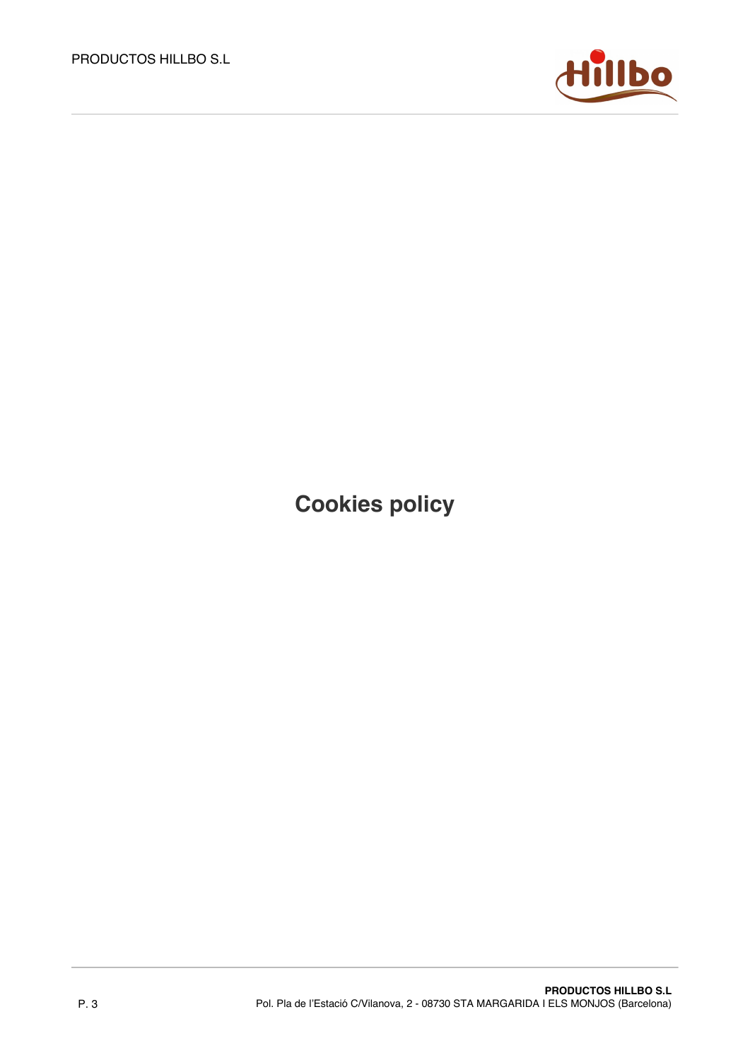

**Cookies policy**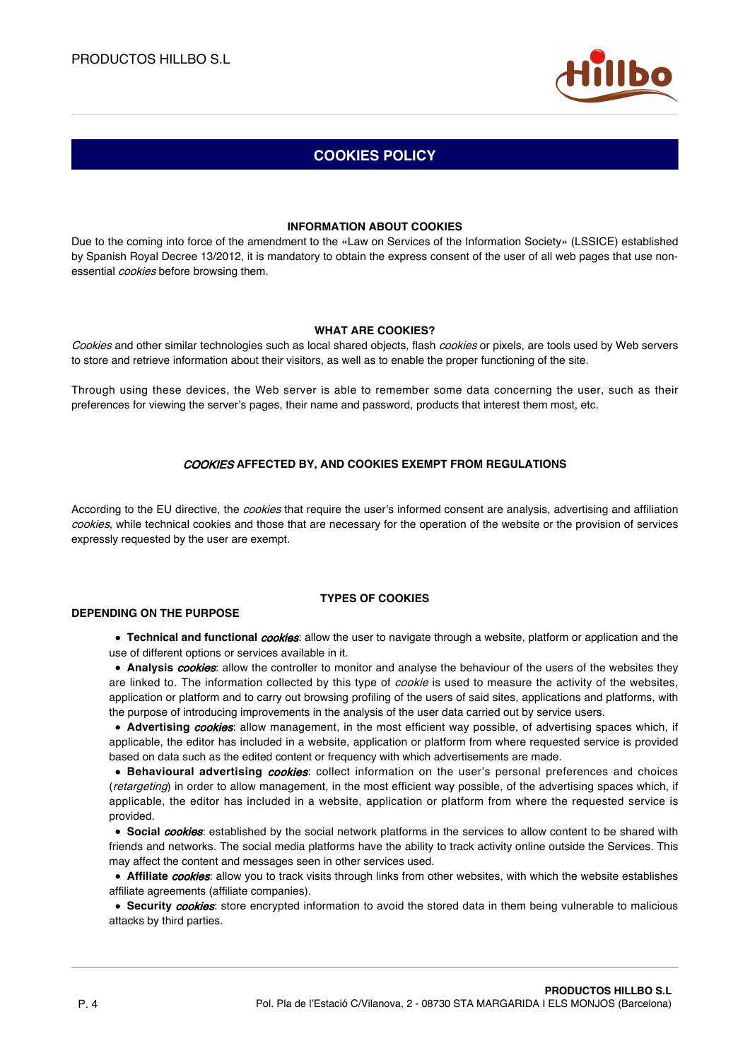

# **COOKIES POLICY**

### **INFORMATION ABOUT COOKIES**

Due to the coming into force of the amendment to the «Law on Services of the Information Society» (LSSICE) established by Spanish Royal Decree 13/2012, it is mandatory to obtain the express consent of the user of all web pages that use nonessential *cookies* before browsing them.

### **WHAT ARE COOKIES?**

Cookies and other similar technologies such as local shared objects, flash cookies or pixels, are tools used by Web servers to store and retrieve information about their visitors, as well as to enable the proper functioning of the site.

Through using these devices, the Web server is able to remember some data concerning the user, such as their preferences for viewing the server's pages, their name and password, products that interest them most, etc.

## COOKIES **AFFECTED BY, AND COOKIES EXEMPT FROM REGULATIONS**

According to the EU directive, the *cookies* that require the user's informed consent are analysis, advertising and affiliation cookies, while technical cookies and those that are necessary for the operation of the website or the provision of services expressly requested by the user are exempt.

## **TYPES OF COOKIES**

## **DEPENDING ON THE PURPOSE**

**Technical and functional** *cookies*: allow the user to navigate through a website, platform or application and the use of different options or services available in it.

**Analysis** *cookies*: allow the controller to monitor and analyse the behaviour of the users of the websites they are linked to. The information collected by this type of *cookie* is used to measure the activity of the websites, application or platform and to carry out browsing profiling of the users of said sites, applications and platforms, with the purpose of introducing improvements in the analysis of the user data carried out by service users.

**Advertising** *cookies*: allow management, in the most efficient way possible, of advertising spaces which, if applicable, the editor has included in a website, application or platform from where requested service is provided based on data such as the edited content or frequency with which advertisements are made.

**Behavioural advertising cookies:** collect information on the user's personal preferences and choices (retargeting) in order to allow management, in the most efficient way possible, of the advertising spaces which, if applicable, the editor has included in a website, application or platform from where the requested service is provided.

**Social cookies:** established by the social network platforms in the services to allow content to be shared with friends and networks. The social media platforms have the ability to track activity online outside the Services. This may affect the content and messages seen in other services used.

**• Affiliate** *cookies*: allow you to track visits through links from other websites, with which the website establishes affiliate agreements (affiliate companies).

**Security** *cookies*: store encrypted information to avoid the stored data in them being vulnerable to malicious attacks by third parties.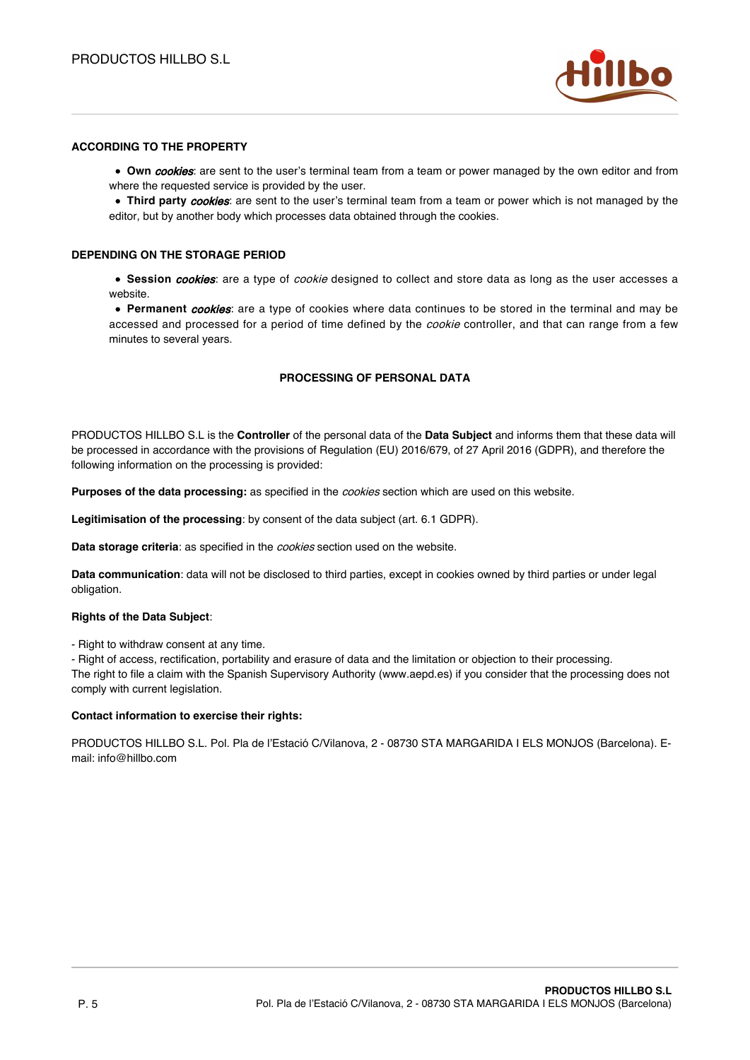

## **ACCORDING TO THE PROPERTY**

**Own cookies**: are sent to the user's terminal team from a team or power managed by the own editor and from where the requested service is provided by the user.

**Third party cookies**: are sent to the user's terminal team from a team or power which is not managed by the editor, but by another body which processes data obtained through the cookies.

#### **DEPENDING ON THE STORAGE PERIOD**

**Session** *cookies*: are a type of *cookie* designed to collect and store data as long as the user accesses a website.

**Permanent** cookies: are a type of cookies where data continues to be stored in the terminal and may be accessed and processed for a period of time defined by the *cookie* controller, and that can range from a few minutes to several years.

### **PROCESSING OF PERSONAL DATA**

PRODUCTOS HILLBO S.L is the **Controller** of the personal data of the **Data Subject** and informs them that these data will be processed in accordance with the provisions of Regulation (EU) 2016/679, of 27 April 2016 (GDPR), and therefore the following information on the processing is provided:

**Purposes of the data processing:** as specified in the cookies section which are used on this website.

**Legitimisation of the processing**: by consent of the data subject (art. 6.1 GDPR).

**Data storage criteria**: as specified in the cookies section used on the website.

**Data communication**: data will not be disclosed to third parties, except in cookies owned by third parties or under legal obligation.

#### **Rights of the Data Subject**:

- Right to withdraw consent at any time.

- Right of access, rectification, portability and erasure of data and the limitation or objection to their processing.

The right to file a claim with the Spanish Supervisory Authority (www.aepd.es) if you consider that the processing does not comply with current legislation.

#### **Contact information to exercise their rights:**

PRODUCTOS HILLBO S.L. Pol. Pla de l'Estació C/Vilanova, 2 - 08730 STA MARGARIDA I ELS MONJOS (Barcelona). Email: info@hillbo.com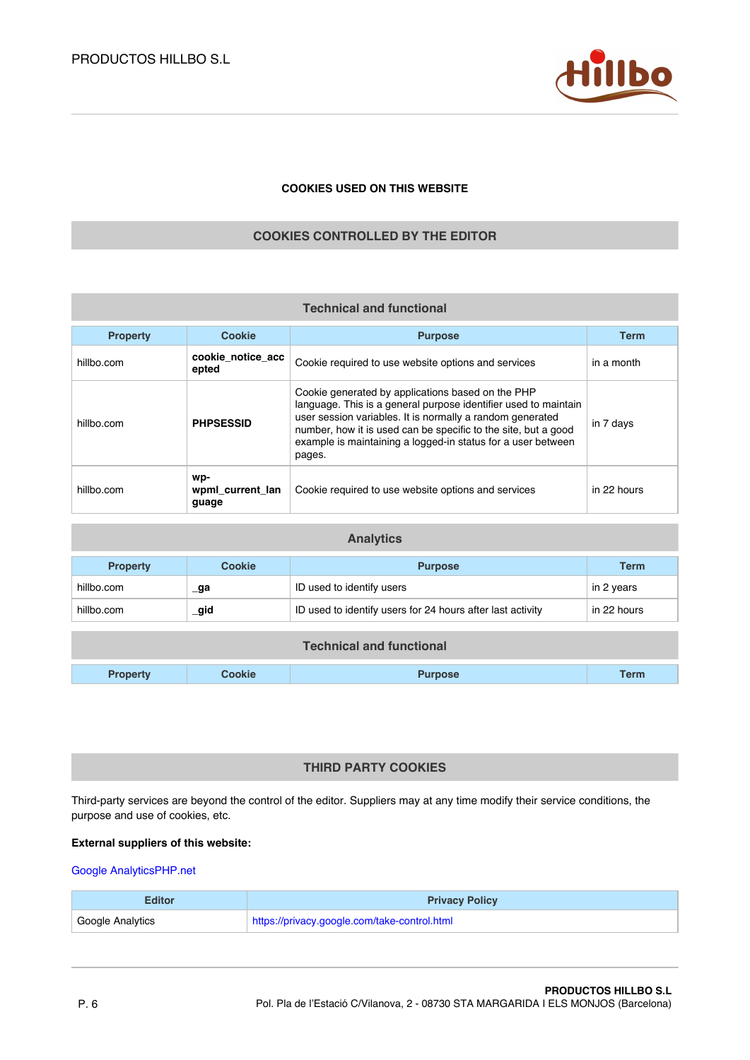

## **COOKIES USED ON THIS WEBSITE**

## **COOKIES CONTROLLED BY THE EDITOR**

| <b>Technical and functional</b> |                                  |                                                                                                                                                                                                                                                                                                                               |             |  |  |
|---------------------------------|----------------------------------|-------------------------------------------------------------------------------------------------------------------------------------------------------------------------------------------------------------------------------------------------------------------------------------------------------------------------------|-------------|--|--|
| <b>Property</b>                 | <b>Cookie</b>                    | <b>Purpose</b>                                                                                                                                                                                                                                                                                                                | <b>Term</b> |  |  |
| hillbo.com                      | cookie notice acc<br>epted       | Cookie required to use website options and services                                                                                                                                                                                                                                                                           | in a month  |  |  |
| hillbo com                      | <b>PHPSESSID</b>                 | Cookie generated by applications based on the PHP<br>language. This is a general purpose identifier used to maintain<br>user session variables. It is normally a random generated<br>number, how it is used can be specific to the site, but a good<br>example is maintaining a logged-in status for a user between<br>pages. | in 7 days   |  |  |
| hillbo.com                      | wp-<br>wpml_current_lan<br>guage | Cookie required to use website options and services                                                                                                                                                                                                                                                                           | in 22 hours |  |  |

| <b>Analytics</b> |        |                                                            |             |  |
|------------------|--------|------------------------------------------------------------|-------------|--|
| <b>Property</b>  | Cookie | <b>Purpose</b>                                             | <b>Term</b> |  |
| hillbo.com       | _ga    | ID used to identify users                                  | in 2 years  |  |
| hillbo.com       | _gid   | ID used to identify users for 24 hours after last activity | in 22 hours |  |

| <b>Technical and functional</b> |        |                |             |
|---------------------------------|--------|----------------|-------------|
| <b>Property</b>                 | Cookie | <b>Purpose</b> | <b>Term</b> |

## **THIRD PARTY COOKIES**

Third-party services are beyond the control of the editor. Suppliers may at any time modify their service conditions, the purpose and use of cookies, etc.

### **External suppliers of this website:**

## [Google Analytics](https://privacy.google.com/take-control.html)[PHP.net](https://www.php.net/privacy.php)

| Editor           | <b>Privacy Policy</b>                        |
|------------------|----------------------------------------------|
| Google Analytics | https://privacy.google.com/take-control.html |